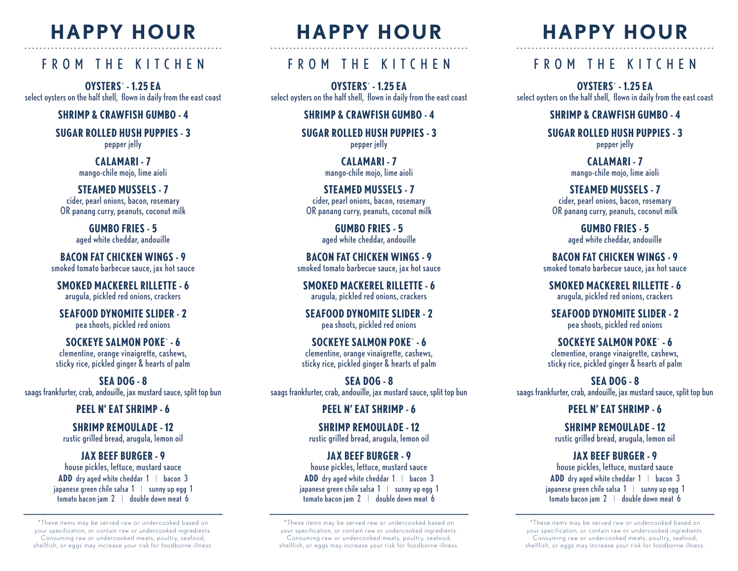# **HAPPY HOUR** ----------------------------------------------------

# FROM THE KITCHEN

**OYSTERS**\* **- 1.25 EA**  select oysters on the half shell, flown in daily from the east coast

### **SHRIMP & CRAWFISH GUMBO - 4**

**SUGAR ROLLED HUSH PUPPIES - 3**

pepper jelly

**CALAMARI - 7** mango-chile mojo, lime aioli

#### **STEAMED MUSSELS - 7**

cider, pearl onions, bacon, rosemary OR panang curry, peanuts, coconut milk

> **GUMBO FRIES - 5** aged white cheddar, andouille

#### **BACON FAT CHICKEN WINGS - 9**

smoked tomato barbecue sauce, jax hot sauce

# **SMOKED MACKEREL RILLETTE - 6**

arugula, pickled red onions, crackers

#### **SEAFOOD DYNOMITE SLIDER - 2**  pea shoots, pickled red onions

#### **SOCKEYE SALMON POKE**\* **- 6**

clementine, orange vinaigrette, cashews, sticky rice, pickled ginger & hearts of palm

**SEA DOG - 8**  saags frankfurter, crab, andouille, jax mustard sauce, split top bun

#### **PEEL N' EAT SHRIMP - 6**

**SHRIMP REMOULADE - 12** rustic grilled bread, arugula, lemon oil

#### **JAX BEEF BURGER - 9**

house pickles, lettuce, mustard sauce **ADD** dry aged white cheddar 1 | bacon 3 japanese green chile salsa 1 | sunny up egg 1 tomato bacon jam 2 | double down meat 6

\*These items may be ser ved raw or undercooked based on your specification, or contain raw or undercooked ingredients. Consuming raw or undercooked meats, poultry, seafood, shellfish, or eggs may increase your risk for foodborne illness.